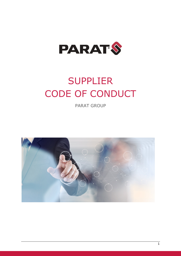

# SUPPLIER CODE OF CONDUCT

PARAT GROUP

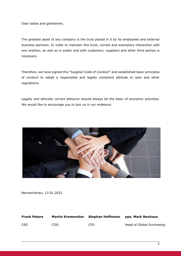Dear ladies and gentlemen,

The greatest asset of any company is the trust placed in it by its employees and external business partners. In order to maintain this trust, correct and exemplary interaction with one another, as well as in public and with customers, suppliers and other third parties is necessary.

Therefore, we have signed this "Supplier Code of Conduct" and established basic principles of conduct to adopt a responsible and legally compliant attitude to laws and other regulations.

Legally and ethically correct behavior should always be the basic of economic activities. We would like to encourage you to join us in our endeavor.



Neureichenau, 13.01.2022

| <b>Frank Peters</b> | <b>Martin Kremsreiter</b> | Stephan Hoffmann | ppa. Mark Neuhaus         |
|---------------------|---------------------------|------------------|---------------------------|
| CEO                 | COO.                      | CFO.             | Head of Global Purchasing |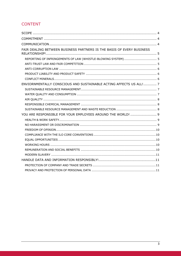# **CONTENT**

| FAIR DEALING BETWEEN BUSINESS PARTNERS IS THE BASIS OF EVERY BUSINESS                  |
|----------------------------------------------------------------------------------------|
| REPORTING OF INFRINGEMENTS OF LAW (WHISTLE-BLOWING SYSTEM) 5                           |
|                                                                                        |
|                                                                                        |
|                                                                                        |
|                                                                                        |
| ENVIORNMENTALLY CONSCIOUS AND SUSTAINABLE ACTING AFFECTS US ALL! 7                     |
|                                                                                        |
|                                                                                        |
|                                                                                        |
|                                                                                        |
|                                                                                        |
| YOU ARE RESPONSIBLE FOR YOUR EMPLOYEES AROUND THE WORLD!  9                            |
|                                                                                        |
|                                                                                        |
|                                                                                        |
|                                                                                        |
|                                                                                        |
|                                                                                        |
| REMUNERATION AND SOCIAL BENEFITS (Material Communication) (Material Communication) (10 |
|                                                                                        |
|                                                                                        |
|                                                                                        |
|                                                                                        |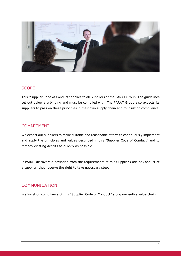

### **SCOPE**

This "Supplier Code of Conduct" applies to all Suppliers of the PARAT Group. The guidelines set out below are binding and must be complied with. The PARAT Group also expects its suppliers to pass on these principles in their own supply chain and to insist on compliance.

### COMMITMENT

We expect our suppliers to make suitable and reasonable efforts to continuously implement and apply the principles and values described in this "Supplier Code of Conduct" and to remedy existing deficits as quickly as possible.

If PARAT discovers a deviation from the requirements of this Supplier Code of Conduct at a supplier, they reserve the right to take necessary steps.

## COMMUNICATION

We insist on compliance of this "Supplier Code of Conduct" along our entire value chain.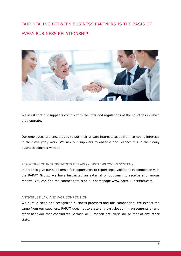# FAIR DEALING BETWEEN BUSINESS PARTNERS IS THE BASIS OF EVERY BUSINESS RELATIONSHIP!



We insist that our suppliers comply with the laws and regulations of the countries in which they operate.

Our employees are encouraged to put their private interests aside from company interests in their everyday work. We ask our suppliers to observe and respect this in their daily business contract with us.

#### REPORTING OF INFRINGEMENTS OF LAW (WHISTLE-BLOWING SYSTEM)

In order to give our suppliers a fair opportunity to report legal violations in connection with the PARAT Group, we have instructed an external ombudsman to receive anonymous reports. You can find the contact details on our homepage www.parat-kunststoff.com.

#### ANTI-TRUST LAW AND FAIR COMPETITION

We pursue clean and recognized business practices and fair competition. We expect the same from our suppliers. PARAT does not tolerate any participation in agreements or any other behavior that contradicts German or European anti-trust law or that of any other state.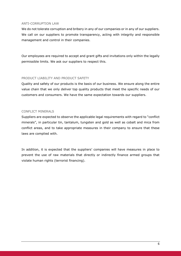#### ANTI-CORRUPTION LAW

We do not tolerate corruption and bribery in any of our companies or in any of our suppliers. We call on our suppliers to promote transparency, acting with integrity and responsible management and control in their companies.

Our employees are required to accept and grant gifts and invitations only within the legally permissible limits. We ask our suppliers to respect this.

#### PRODUCT LIABILITY AND PRODUCT SAFETY

Quality and safety of our products is the basis of our business. We ensure along the entire value chain that we only deliver top quality products that meet the specific needs of our customers and consumers. We have the same expectation towards our suppliers.

#### CONFLICT MINERALS

Suppliers are expected to observe the applicable legal requirements with regard to "conflict minerals", in particular tin, tantalum, tungsten and gold as well as cobalt and mica from conflict areas, and to take appropriate measures in their company to ensure that these laws are complied with.

In addition, it is expected that the suppliers' companies will have measures in place to prevent the use of raw materials that directly or indirectly finance armed groups that violate human rights (terrorist financing).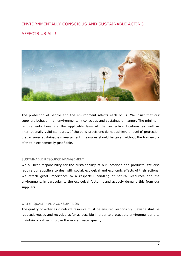# ENVIORNMENTALLY CONSCIOUS AND SUSTAINABLE ACTING **AFFECTS US ALL!**



The protection of people and the environment affects each of us. We insist that our suppliers behave in an environmentally conscious and sustainable manner. The minimum requirements here are the applicable laws at the respective locations as well as internationally valid standards. If the valid provisions do not achieve a level of protection that ensures sustainable management, measures should be taken without the framework of that is economically justifiable.

#### SUSTAINABLE RESOURCE MANAGEMENT

We all bear responsibility for the sustainability of our locations and products. We also require our suppliers to deal with social, ecological and economic effects of their actions. We attach great importance to a respectful handling of natural resources and the environment, in particular to the ecological footprint and actively demand this from our suppliers.

#### WATER QUALITY AND CONSUMPTION

The quality of water as a natural resource must be ensured responsibly. Sewage shall be reduced, reused and recycled as far as possible in order to protect the environment and to maintain or rather improve the overall water quality.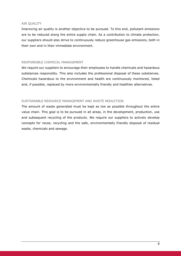#### AIR QUALITY

Improving air quality is another objective to be pursued. To this end, pollutant emissions are to be reduced along the entire supply chain. As a contribution to climate protection, our suppliers should also strive to continuously reduce greenhouse gas emissions, both in their own and in their immediate environment.

#### RESPONSIBLE CHEMICAL MANAGEMENT

We require our suppliers to encourage their employees to handle chemicals and hazardous substances responsibly. This also includes the professional disposal of these substances. Chemicals hazardous to the environment and health are continuously monitored, listed and, if possible, replaced by more environmentally friendly and healthier alternatives.

#### SUSTAINABLE RESOURCE MANAGEMENT AND WASTE REDUCTION

The amount of waste generated must be kept as low as possible throughout the entire value chain. This goal is to be pursued in all areas, in the development, production, use and subsequent recycling of the products. We require our suppliers to actively develop concepts for reuse, recycling and the safe, environmentally friendly disposal of residual waste, chemicals and sewage.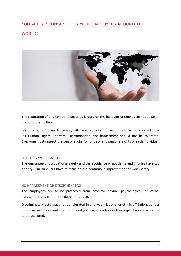# YOU ARE RESPONSIBLE FOR YOUR EMPLOYEES AROUND THE WORLD!



The reputation of any company depends largely on the behavior of employees, but also on that of our suppliers.

We urge our suppliers to comply with and promote human rights in accordance with the UN Human Rights Charters. Discrimination and harassment should not be tolerated. Everyone must respect the personal dignity, privacy and personal rights of each individual.

#### HEALTH & WORK SAFETY

The guarantee of occupational safety and the avoidance of accidents and injuries have top priority. Our suppliers have to focus on the continuous improvement of work safety.

#### NO HARASSMENT OR DISCRIMINATION

The employees are to be protected from physical, sexual, psychological, or verbal harassment and from intimidation or abuse.

Discriminatory acts must not be tolerated in any way. National or ethnic affiliation, gender or age as well as sexual orientation and political attitudes or other legal characteristics are to be accepted.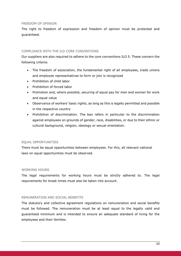#### FREEDOM OF OPINION

The right to freedom of expression and freedom of opinion must be protected and guaranteed.

#### COMPLIANCE WITH THE ILO CORE CONVENTIONS

Our suppliers are also required to adhere to the core conventions ILO 5. These concern the following criteria:

- The freedom of association, the fundamental right of all employees, trade unions and employee representatives to form or join is recognized
- Prohibition of child labor
- Prohibition of forced labor
- Promotion and, where possible, securing of equal pay for men and women for work and equal value
- Observance of workers' basic rights, as long as this is legally permitted and possible in the respective country
- Prohibition of discrimination. The ban refers in particular to the discrimination against employees on grounds of gender, race, disabilities, or due to their ethnic or cultural background, religion, ideology or sexual orientation.

#### EQUAL OPPORTUNITIES

There must be equal opportunities between employees. For this, all relevant national laws on equal opportunities must be observed.

#### WORKING HOURS

The legal requirements for working hours must be strictly adhered to. The legal requirements for break times must also be taken into account.

#### REMUNERATION AND SOCIAL BENEFITS

The statutory and collective agreement regulations on remuneration and social benefits must be followed. The remuneration must be at least equal to the legally valid and guaranteed minimum and is intended to ensure an adequate standard of living for the employees and their families.